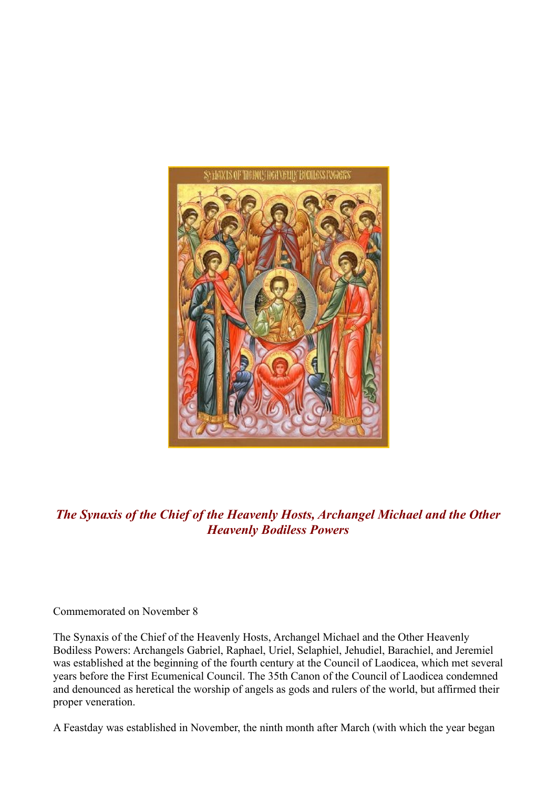

*The Synaxis of the Chief of the Heavenly Hosts, Archangel Michael and the Other Heavenly Bodiless Powers*

Commemorated on November 8

The Synaxis of the Chief of the Heavenly Hosts, Archangel Michael and the Other Heavenly Bodiless Powers: Archangels Gabriel, Raphael, Uriel, Selaphiel, Jehudiel, Barachiel, and Jeremiel was established at the beginning of the fourth century at the Council of Laodicea, which met several years before the First Ecumenical Council. The 35th Canon of the Council of Laodicea condemned and denounced as heretical the worship of angels as gods and rulers of the world, but affirmed their proper veneration.

A Feastday was established in November, the ninth month after March (with which the year began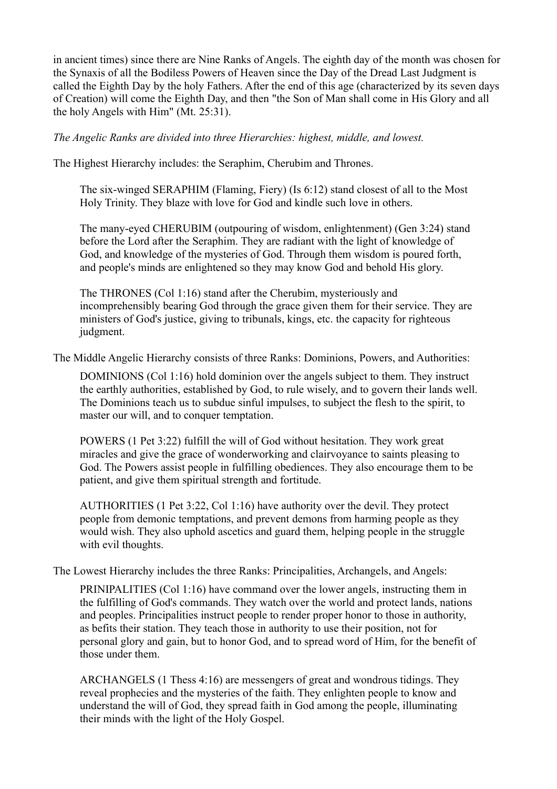in ancient times) since there are Nine Ranks of Angels. The eighth day of the month was chosen for the Synaxis of all the Bodiless Powers of Heaven since the Day of the Dread Last Judgment is called the Eighth Day by the holy Fathers. After the end of this age (characterized by its seven days of Creation) will come the Eighth Day, and then "the Son of Man shall come in His Glory and all the holy Angels with Him" (Mt. 25:31).

*The Angelic Ranks are divided into three Hierarchies: highest, middle, and lowest.* 

The Highest Hierarchy includes: the Seraphim, Cherubim and Thrones.

The six-winged SERAPHIM (Flaming, Fiery) (Is 6:12) stand closest of all to the Most Holy Trinity. They blaze with love for God and kindle such love in others.

The many-eyed CHERUBIM (outpouring of wisdom, enlightenment) (Gen 3:24) stand before the Lord after the Seraphim. They are radiant with the light of knowledge of God, and knowledge of the mysteries of God. Through them wisdom is poured forth, and people's minds are enlightened so they may know God and behold His glory.

The THRONES (Col 1:16) stand after the Cherubim, mysteriously and incomprehensibly bearing God through the grace given them for their service. They are ministers of God's justice, giving to tribunals, kings, etc. the capacity for righteous judgment.

The Middle Angelic Hierarchy consists of three Ranks: Dominions, Powers, and Authorities:

DOMINIONS (Col 1:16) hold dominion over the angels subject to them. They instruct the earthly authorities, established by God, to rule wisely, and to govern their lands well. The Dominions teach us to subdue sinful impulses, to subject the flesh to the spirit, to master our will, and to conquer temptation.

POWERS (1 Pet 3:22) fulfill the will of God without hesitation. They work great miracles and give the grace of wonderworking and clairvoyance to saints pleasing to God. The Powers assist people in fulfilling obediences. They also encourage them to be patient, and give them spiritual strength and fortitude.

AUTHORITIES (1 Pet 3:22, Col 1:16) have authority over the devil. They protect people from demonic temptations, and prevent demons from harming people as they would wish. They also uphold ascetics and guard them, helping people in the struggle with evil thoughts.

The Lowest Hierarchy includes the three Ranks: Principalities, Archangels, and Angels:

PRINIPALITIES (Col 1:16) have command over the lower angels, instructing them in the fulfilling of God's commands. They watch over the world and protect lands, nations and peoples. Principalities instruct people to render proper honor to those in authority, as befits their station. They teach those in authority to use their position, not for personal glory and gain, but to honor God, and to spread word of Him, for the benefit of those under them.

ARCHANGELS (1 Thess 4:16) are messengers of great and wondrous tidings. They reveal prophecies and the mysteries of the faith. They enlighten people to know and understand the will of God, they spread faith in God among the people, illuminating their minds with the light of the Holy Gospel.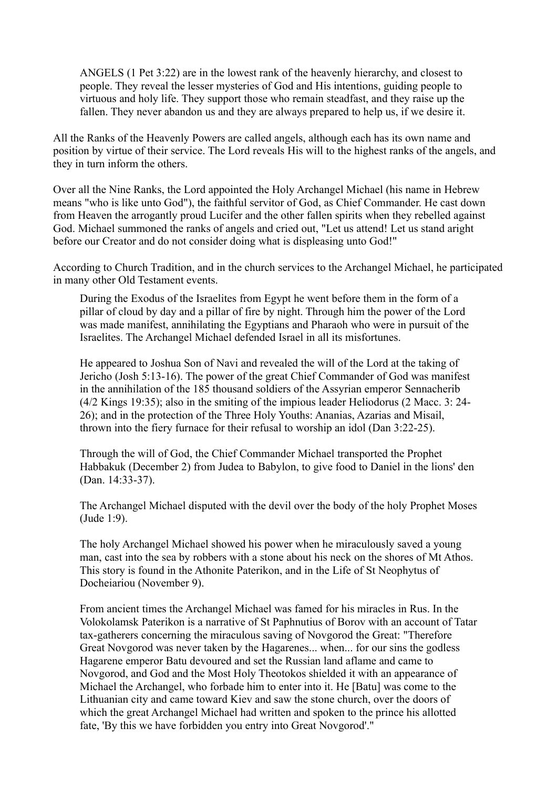ANGELS (1 Pet 3:22) are in the lowest rank of the heavenly hierarchy, and closest to people. They reveal the lesser mysteries of God and His intentions, guiding people to virtuous and holy life. They support those who remain steadfast, and they raise up the fallen. They never abandon us and they are always prepared to help us, if we desire it.

All the Ranks of the Heavenly Powers are called angels, although each has its own name and position by virtue of their service. The Lord reveals His will to the highest ranks of the angels, and they in turn inform the others.

Over all the Nine Ranks, the Lord appointed the Holy Archangel Michael (his name in Hebrew means "who is like unto God"), the faithful servitor of God, as Chief Commander. He cast down from Heaven the arrogantly proud Lucifer and the other fallen spirits when they rebelled against God. Michael summoned the ranks of angels and cried out, "Let us attend! Let us stand aright before our Creator and do not consider doing what is displeasing unto God!"

According to Church Tradition, and in the church services to the Archangel Michael, he participated in many other Old Testament events.

During the Exodus of the Israelites from Egypt he went before them in the form of a pillar of cloud by day and a pillar of fire by night. Through him the power of the Lord was made manifest, annihilating the Egyptians and Pharaoh who were in pursuit of the Israelites. The Archangel Michael defended Israel in all its misfortunes.

He appeared to Joshua Son of Navi and revealed the will of the Lord at the taking of Jericho (Josh 5:13-16). The power of the great Chief Commander of God was manifest in the annihilation of the 185 thousand soldiers of the Assyrian emperor Sennacherib (4/2 Kings 19:35); also in the smiting of the impious leader Heliodorus (2 Macc. 3: 24- 26); and in the protection of the Three Holy Youths: Ananias, Azarias and Misail, thrown into the fiery furnace for their refusal to worship an idol (Dan 3:22-25).

Through the will of God, the Chief Commander Michael transported the Prophet Habbakuk (December 2) from Judea to Babylon, to give food to Daniel in the lions' den (Dan. 14:33-37).

The Archangel Michael disputed with the devil over the body of the holy Prophet Moses (Jude 1:9).

The holy Archangel Michael showed his power when he miraculously saved a young man, cast into the sea by robbers with a stone about his neck on the shores of Mt Athos. This story is found in the Athonite Paterikon, and in the Life of St Neophytus of Docheiariou (November 9).

From ancient times the Archangel Michael was famed for his miracles in Rus. In the Volokolamsk Paterikon is a narrative of St Paphnutius of Borov with an account of Tatar tax-gatherers concerning the miraculous saving of Novgorod the Great: "Therefore Great Novgorod was never taken by the Hagarenes... when... for our sins the godless Hagarene emperor Batu devoured and set the Russian land aflame and came to Novgorod, and God and the Most Holy Theotokos shielded it with an appearance of Michael the Archangel, who forbade him to enter into it. He [Batu] was come to the Lithuanian city and came toward Kiev and saw the stone church, over the doors of which the great Archangel Michael had written and spoken to the prince his allotted fate, 'By this we have forbidden you entry into Great Novgorod'."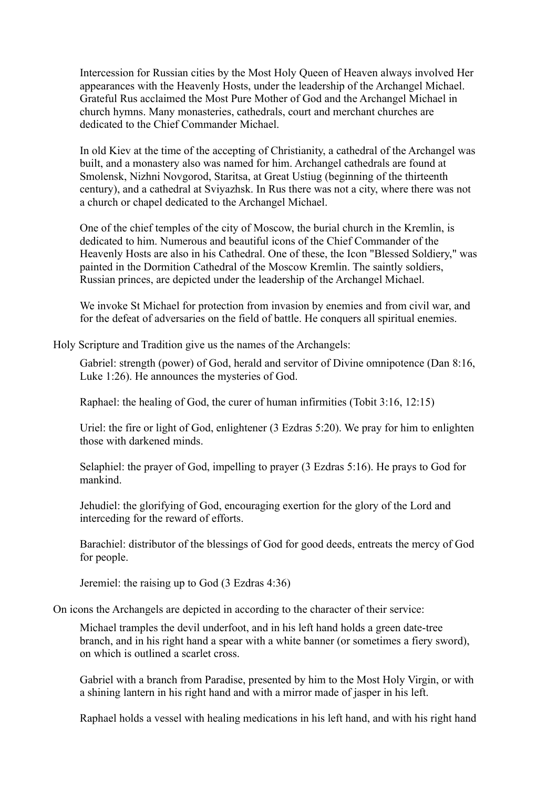Intercession for Russian cities by the Most Holy Queen of Heaven always involved Her appearances with the Heavenly Hosts, under the leadership of the Archangel Michael. Grateful Rus acclaimed the Most Pure Mother of God and the Archangel Michael in church hymns. Many monasteries, cathedrals, court and merchant churches are dedicated to the Chief Commander Michael.

In old Kiev at the time of the accepting of Christianity, a cathedral of the Archangel was built, and a monastery also was named for him. Archangel cathedrals are found at Smolensk, Nizhni Novgorod, Staritsa, at Great Ustiug (beginning of the thirteenth century), and a cathedral at Sviyazhsk. In Rus there was not a city, where there was not a church or chapel dedicated to the Archangel Michael.

One of the chief temples of the city of Moscow, the burial church in the Kremlin, is dedicated to him. Numerous and beautiful icons of the Chief Commander of the Heavenly Hosts are also in his Cathedral. One of these, the Icon "Blessed Soldiery," was painted in the Dormition Cathedral of the Moscow Kremlin. The saintly soldiers, Russian princes, are depicted under the leadership of the Archangel Michael.

We invoke St Michael for protection from invasion by enemies and from civil war, and for the defeat of adversaries on the field of battle. He conquers all spiritual enemies.

Holy Scripture and Tradition give us the names of the Archangels:

Gabriel: strength (power) of God, herald and servitor of Divine omnipotence (Dan 8:16, Luke 1:26). He announces the mysteries of God.

Raphael: the healing of God, the curer of human infirmities (Tobit 3:16, 12:15)

Uriel: the fire or light of God, enlightener (3 Ezdras 5:20). We pray for him to enlighten those with darkened minds.

Selaphiel: the prayer of God, impelling to prayer (3 Ezdras 5:16). He prays to God for mankind.

Jehudiel: the glorifying of God, encouraging exertion for the glory of the Lord and interceding for the reward of efforts.

Barachiel: distributor of the blessings of God for good deeds, entreats the mercy of God for people.

Jeremiel: the raising up to God (3 Ezdras 4:36)

On icons the Archangels are depicted in according to the character of their service:

Michael tramples the devil underfoot, and in his left hand holds a green date-tree branch, and in his right hand a spear with a white banner (or sometimes a fiery sword), on which is outlined a scarlet cross.

Gabriel with a branch from Paradise, presented by him to the Most Holy Virgin, or with a shining lantern in his right hand and with a mirror made of jasper in his left.

Raphael holds a vessel with healing medications in his left hand, and with his right hand